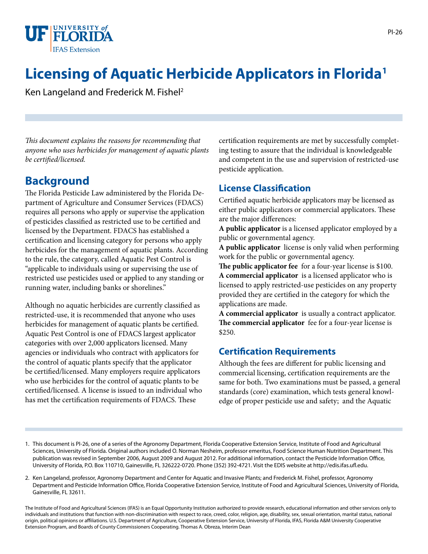

# **Licensing of Aquatic Herbicide Applicators in Florida1**

Ken Langeland and Frederick M. Fishel2

*This document explains the reasons for recommending that anyone who uses herbicides for management of aquatic plants be certified/licensed.* 

### **Background**

The Florida Pesticide Law administered by the Florida Department of Agriculture and Consumer Services (FDACS) requires all persons who apply or supervise the application of pesticides classified as restricted use to be certified and licensed by the Department. FDACS has established a certification and licensing category for persons who apply herbicides for the management of aquatic plants. According to the rule, the category, called Aquatic Pest Control is "applicable to individuals using or supervising the use of restricted use pesticides used or applied to any standing or running water, including banks or shorelines."

Although no aquatic herbicides are currently classified as restricted-use, it is recommended that anyone who uses herbicides for management of aquatic plants be certified. Aquatic Pest Control is one of FDACS largest applicator categories with over 2,000 applicators licensed. Many agencies or individuals who contract with applicators for the control of aquatic plants specify that the applicator be certified/licensed. Many employers require applicators who use herbicides for the control of aquatic plants to be certified/licensed. A license is issued to an individual who has met the certification requirements of FDACS. These

certification requirements are met by successfully completing testing to assure that the individual is knowledgeable and competent in the use and supervision of restricted-use pesticide application.

#### **License Classification**

Certified aquatic herbicide applicators may be licensed as either public applicators or commercial applicators. These are the major differences:

**A public applicator** is a licensed applicator employed by a public or governmental agency.

**A public applicator** license is only valid when performing work for the public or governmental agency.

**The public applicator fee** for a four-year license is \$100. **A commercial applicator** is a licensed applicator who is licensed to apply restricted-use pesticides on any property provided they are certified in the category for which the applications are made.

**A commercial applicator** is usually a contract applicator. **The commercial applicator** fee for a four-year license is \$250.

#### **Certification Requirements**

Although the fees are different for public licensing and commercial licensing, certification requirements are the same for both. Two examinations must be passed, a general standards (core) examination, which tests general knowledge of proper pesticide use and safety; and the Aquatic

The Institute of Food and Agricultural Sciences (IFAS) is an Equal Opportunity Institution authorized to provide research, educational information and other services only to individuals and institutions that function with non-discrimination with respect to race, creed, color, religion, age, disability, sex, sexual orientation, marital status, national origin, political opinions or affiliations. U.S. Department of Agriculture, Cooperative Extension Service, University of Florida, IFAS, Florida A&M University Cooperative Extension Program, and Boards of County Commissioners Cooperating. Thomas A. Obreza, Interim Dean

<sup>1.</sup> This document is PI-26, one of a series of the Agronomy Department, Florida Cooperative Extension Service, Institute of Food and Agricultural Sciences, University of Florida. Original authors included O. Norman Nesheim, professor emeritus, Food Science Human Nutrition Department. This publication was revised in September 2006, August 2009 and August 2012. For additional information, contact the Pesticide Information Office, University of Florida, P.O. Box 110710, Gainesville, FL 326222-0720. Phone (352) 392-4721. Visit the EDIS website at http://edis.ifas.ufl.edu.

<sup>2.</sup> Ken Langeland, professor, Agronomy Department and Center for Aquatic and Invasive Plants; and Frederick M. Fishel, professor, Agronomy Department and Pesticide Information Office, Florida Cooperative Extension Service, Institute of Food and Agricultural Sciences, University of Florida, Gainesville, FL 32611.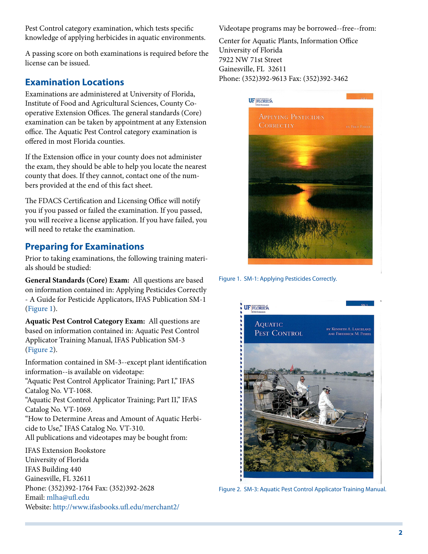Pest Control category examination, which tests specific knowledge of applying herbicides in aquatic environments.

A passing score on both examinations is required before the license can be issued.

#### **Examination Locations**

Examinations are administered at University of Florida, Institute of Food and Agricultural Sciences, County Cooperative Extension Offices. The general standards (Core) examination can be taken by appointment at any Extension office. The Aquatic Pest Control category examination is offered in most Florida counties.

If the Extension office in your county does not administer the exam, they should be able to help you locate the nearest county that does. If they cannot, contact one of the numbers provided at the end of this fact sheet.

The FDACS Certification and Licensing Office will notify you if you passed or failed the examination. If you passed, you will receive a license application. If you have failed, you will need to retake the examination.

#### **Preparing for Examinations**

Prior to taking examinations, the following training materials should be studied:

**General Standards (Core) Exam:** All questions are based on information contained in: Applying Pesticides Correctly - A Guide for Pesticide Applicators, IFAS Publication SM-1 ([Figure 1\)](FIGURE_1).

**Aquatic Pest Control Category Exam:** All questions are based on information contained in: Aquatic Pest Control Applicator Training Manual, IFAS Publication SM-3 ([Figure 2\)](FIGURE_2).

Information contained in SM-3--except plant identification information--is available on videotape:

"Aquatic Pest Control Applicator Training; Part I," IFAS Catalog No. VT-1068.

"Aquatic Pest Control Applicator Training; Part II," IFAS Catalog No. VT-1069.

"How to Determine Areas and Amount of Aquatic Herbicide to Use," IFAS Catalog No. VT-310. All publications and videotapes may be bought from:

IFAS Extension Bookstore University of Florida IFAS Building 440 Gainesville, FL 32611 Phone: (352)392-1764 Fax: (352)392-2628 Email: [mlha@ufl.edu](mailto:mlha@ufl.edu) Website: <http://www.ifasbooks.ufl.edu/merchant2/> Videotape programs may be borrowed--free--from:

Center for Aquatic Plants, Information Office University of Florida 7922 NW 71st Street Gainesville, FL 32611 Phone: (352)392-9613 Fax: (352)392-3462



Figure 1. SM-1: Applying Pesticides Correctly.



Figure 2. SM-3: Aquatic Pest Control Applicator Training Manual.